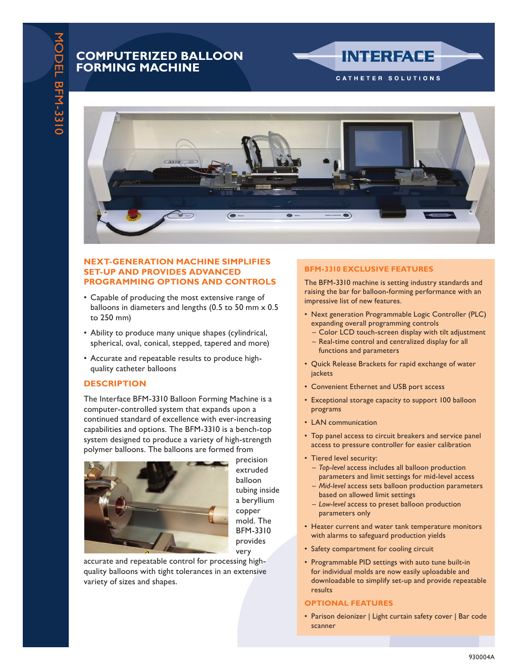## **COMPUTERIZED BALLOON FORMING MACHINE**



### **NEXT-GENERATION MACHINE SIMPLIFIES SET-UP AND PROVIDES ADVANCED PROGRAMMING OPTIONS AND CONTROLS**

- Capable of producing the most extensive range of balloons in diameters and lengths (0.5 to 50 mm x 0.5 to 250 mm)
- Ability to produce many unique shapes (cylindrical, spherical, oval, conical, stepped, tapered and more)
- Accurate and repeatable results to produce highquality catheter balloons

## **DESCRIPTION**

The Interface BFM-3310 Balloon Forming Machine is a computer-controlled system that expands upon a continued standard of excellence with ever-increasing capabilities and options. The BFM-3310 is a bench-top system designed to produce a variety of high-strength polymer balloons. The balloons are formed from



precision extruded balloon tubing inside a beryllium copper mold. The BFM-3310 provides very

accurate and repeatable control for processing highquality balloons with tight tolerances in an extensive variety of sizes and shapes.

## **BFM-3310 EXCLUSIVE FEATURES**

The BFM-3310 machine is setting industry standards and raising the bar for balloon-forming performance with an impressive list of new features.

**INTERFACE** 

CATHETER SOLUTIONS

- Next generation Programmable Logic Controller (PLC) expanding overall programming controls
- Color LCD touch-screen display with tilt adjustment – Real-time control and centralized display for all
- functions and parameters
- Quick Release Brackets for rapid exchange of water jackets
- Convenient Ethernet and USB port access
- Exceptional storage capacity to support 100 balloon programs
- LAN communication
- Top panel access to circuit breakers and service panel access to pressure controller for easier calibration
- Tiered level security:
	- *Top-level* access includes all balloon production parameters and limit settings for mid-level access
- *Mid-level* access sets balloon production parameters based on allowed limit settings
- *Low-level* access to preset balloon production parameters only
- Heater current and water tank temperature monitors with alarms to safeguard production yields
- Safety compartment for cooling circuit
- Programmable PID settings with auto tune built-in for individual molds are now easily uploadable and downloadable to simplify set-up and provide repeatable results

#### **OPTIONAL FEATURES**

• Parison deionizer | Light curtain safety cover | Bar code scanner